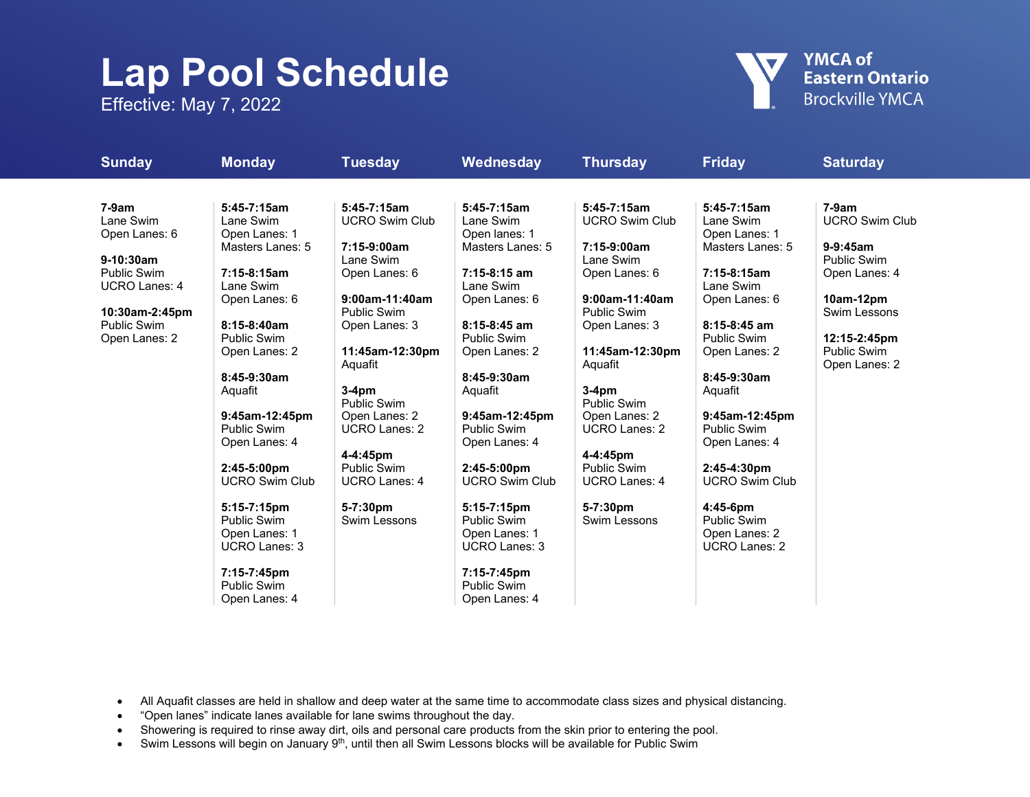## **Lap Pool Schedule**

Effective: May 7, 2022



| <b>Sunday</b>        | <b>Monday</b>                                  | <b>Tuesday</b>                 | Wednesday                            | <b>Thursday</b>                | <b>Friday</b>                        | <b>Saturday</b>                     |
|----------------------|------------------------------------------------|--------------------------------|--------------------------------------|--------------------------------|--------------------------------------|-------------------------------------|
|                      |                                                |                                |                                      |                                |                                      |                                     |
| $7-9am$              | $5:45-7:15am$                                  | $5:45-7:15am$                  | $5:45-7:15am$                        | $5:45-7:15am$                  | $5:45-7:15am$                        | $7-9am$                             |
| Lane Swim            | Lane Swim                                      | <b>UCRO Swim Club</b>          | Lane Swim                            | <b>UCRO Swim Club</b>          | Lane Swim                            | <b>UCRO Swim Club</b>               |
| Open Lanes: 6        | Open Lanes: 1<br>Masters Lanes: 5              | 7:15-9:00am                    | Open lanes: 1<br>Masters Lanes: 5    | 7:15-9:00am                    | Open Lanes: 1<br>Masters Lanes: 5    | $9-9:45am$                          |
| $9-10:30am$          |                                                | Lane Swim                      |                                      | Lane Swim                      |                                      | <b>Public Swim</b>                  |
| <b>Public Swim</b>   | $7:15-8:15am$                                  | Open Lanes: 6                  | 7:15-8:15 am                         | Open Lanes: 6                  | $7:15-8:15am$                        | Open Lanes: 4                       |
| <b>UCRO Lanes: 4</b> | Lane Swim<br>Open Lanes: 6                     | 9:00am-11:40am                 | Lane Swim<br>Open Lanes: 6           | 9:00am-11:40am                 | Lane Swim<br>Open Lanes: 6           | 10am-12pm                           |
| 10:30am-2:45pm       |                                                | <b>Public Swim</b>             |                                      | <b>Public Swim</b>             |                                      | Swim Lessons                        |
| <b>Public Swim</b>   | 8:15-8:40am                                    | Open Lanes: 3                  | $8:15-8:45$ am                       | Open Lanes: 3                  | $8:15-8:45$ am                       |                                     |
| Open Lanes: 2        | <b>Public Swim</b>                             |                                | <b>Public Swim</b>                   |                                | <b>Public Swim</b>                   | 12:15-2:45pm                        |
|                      | Open Lanes: 2                                  | 11:45am-12:30pm<br>Aquafit     | Open Lanes: 2                        | 11:45am-12:30pm<br>Aquafit     | Open Lanes: 2                        | <b>Public Swim</b><br>Open Lanes: 2 |
|                      | $8:45-9:30am$                                  |                                | 8:45-9:30am                          |                                | $8:45-9:30am$                        |                                     |
|                      | Aquafit                                        | $3-4pm$<br><b>Public Swim</b>  | Aquafit                              | $3-4pm$<br><b>Public Swim</b>  | Aquafit                              |                                     |
|                      | 9:45am-12:45pm                                 | Open Lanes: 2                  | 9:45am-12:45pm                       | Open Lanes: 2                  | 9:45am-12:45pm                       |                                     |
|                      | <b>Public Swim</b>                             | UCRO Lanes: 2                  | <b>Public Swim</b>                   | <b>UCRO Lanes: 2</b>           | Public Swim                          |                                     |
|                      | Open Lanes: 4                                  |                                | Open Lanes: 4                        |                                | Open Lanes: 4                        |                                     |
|                      |                                                | 4-4:45pm<br><b>Public Swim</b> |                                      | 4-4:45pm<br><b>Public Swim</b> |                                      |                                     |
|                      | $2:45-5:00 \text{pm}$<br><b>UCRO Swim Club</b> | <b>UCRO Lanes: 4</b>           | 2:45-5:00pm<br><b>UCRO Swim Club</b> | <b>UCRO Lanes: 4</b>           | 2:45-4:30pm<br><b>UCRO Swim Club</b> |                                     |
|                      |                                                |                                |                                      |                                |                                      |                                     |
|                      | 5:15-7:15pm                                    | 5-7:30pm                       | 5:15-7:15pm                          | 5-7:30pm                       | $4:45-6$ pm                          |                                     |
|                      | <b>Public Swim</b>                             | Swim Lessons                   | <b>Public Swim</b>                   | Swim Lessons                   | Public Swim                          |                                     |
|                      | Open Lanes: 1                                  |                                | Open Lanes: 1                        |                                | Open Lanes: 2                        |                                     |
|                      | <b>UCRO Lanes: 3</b>                           |                                | <b>UCRO Lanes: 3</b>                 |                                | <b>UCRO Lanes: 2</b>                 |                                     |
|                      | 7:15-7:45pm                                    |                                | 7:15-7:45pm                          |                                |                                      |                                     |
|                      | <b>Public Swim</b>                             |                                | <b>Public Swim</b>                   |                                |                                      |                                     |
|                      | Open Lanes: 4                                  |                                | Open Lanes: 4                        |                                |                                      |                                     |

• All Aquafit classes are held in shallow and deep water at the same time to accommodate class sizes and physical distancing.

- "Open lanes" indicate lanes available for lane swims throughout the day.
- Showering is required to rinse away dirt, oils and personal care products from the skin prior to entering the pool.
- Swim Lessons will begin on January 9<sup>th</sup>, until then all Swim Lessons blocks will be available for Public Swim